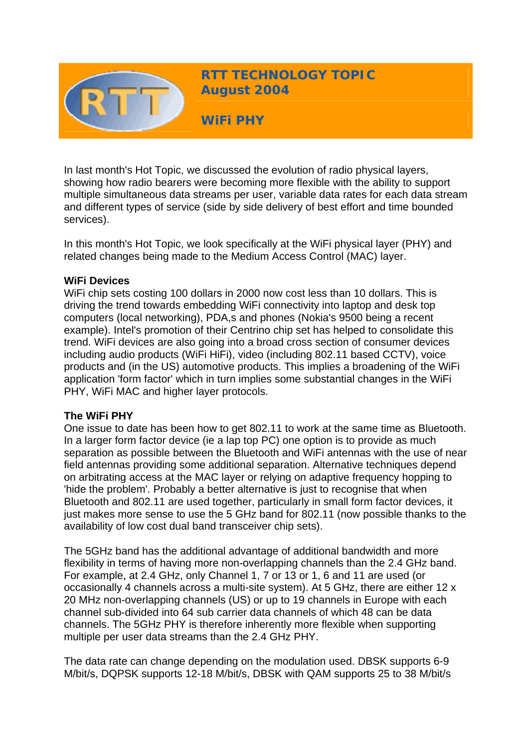

**RTT TECHNOLOGY TOPIC August 2004**

**WiFi PHY** 

In last month's Hot Topic, we discussed the evolution of radio physical layers, showing how radio bearers were becoming more flexible with the ability to support multiple simultaneous data streams per user, variable data rates for each data stream and different types of service (side by side delivery of best effort and time bounded services).

In this month's Hot Topic, we look specifically at the WiFi physical layer (PHY) and related changes being made to the Medium Access Control (MAC) layer.

#### **WiFi Devices**

WiFi chip sets costing 100 dollars in 2000 now cost less than 10 dollars. This is driving the trend towards embedding WiFi connectivity into laptop and desk top computers (local networking), PDA,s and phones (Nokia's 9500 being a recent example). Intel's promotion of their Centrino chip set has helped to consolidate this trend. WiFi devices are also going into a broad cross section of consumer devices including audio products (WiFi HiFi), video (including 802.11 based CCTV), voice products and (in the US) automotive products. This implies a broadening of the WiFi application 'form factor' which in turn implies some substantial changes in the WiFi PHY, WiFi MAC and higher layer protocols.

#### **The WiFi PHY**

One issue to date has been how to get 802.11 to work at the same time as Bluetooth. In a larger form factor device (ie a lap top PC) one option is to provide as much separation as possible between the Bluetooth and WiFi antennas with the use of near field antennas providing some additional separation. Alternative techniques depend on arbitrating access at the MAC layer or relying on adaptive frequency hopping to 'hide the problem'. Probably a better alternative is just to recognise that when Bluetooth and 802.11 are used together, particularly in small form factor devices, it just makes more sense to use the 5 GHz band for 802.11 (now possible thanks to the availability of low cost dual band transceiver chip sets).

The 5GHz band has the additional advantage of additional bandwidth and more flexibility in terms of having more non-overlapping channels than the 2.4 GHz band. For example, at 2.4 GHz, only Channel 1, 7 or 13 or 1, 6 and 11 are used (or occasionally 4 channels across a multi-site system). At 5 GHz, there are either 12 x 20 MHz non-overlapping channels (US) or up to 19 channels in Europe with each channel sub-divided into 64 sub carrier data channels of which 48 can be data channels. The 5GHz PHY is therefore inherently more flexible when supporting multiple per user data streams than the 2.4 GHz PHY.

The data rate can change depending on the modulation used. DBSK supports 6-9 M/bit/s, DQPSK supports 12-18 M/bit/s, DBSK with QAM supports 25 to 38 M/bit/s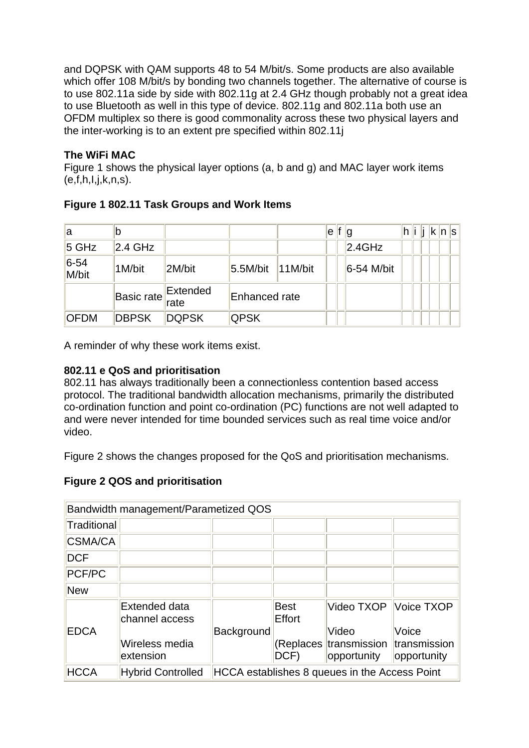and DQPSK with QAM supports 48 to 54 M/bit/s. Some products are also available which offer 108 M/bit/s by bonding two channels together. The alternative of course is to use 802.11a side by side with 802.11g at 2.4 GHz though probably not a great idea to use Bluetooth as well in this type of device. 802.11g and 802.11a both use an OFDM multiplex so there is good commonality across these two physical layers and the inter-working is to an extent pre specified within 802.11j

# **The WiFi MAC**

Figure 1 shows the physical layer options (a, b and g) and MAC layer work items  $(e,f,h,l,j,k,n,s)$ .

| la              |                     |              |               |             | le | f $ g $    |  |  | ∣h∥i ∥i ∣k∥n∥s∣ |  |
|-----------------|---------------------|--------------|---------------|-------------|----|------------|--|--|-----------------|--|
| $5$ GHz         | 2.4 GHz             |              |               |             |    | 2.4GHz     |  |  |                 |  |
| $6-54$<br>M/bit | 1M/bit              | 2M/bit       | 5.5M/bit      | $ 11$ M/bit |    | 6-54 M/bit |  |  |                 |  |
|                 | Basic rate Extended |              | Enhanced rate |             |    |            |  |  |                 |  |
| <b>OFDM</b>     | <b>DBPSK</b>        | <b>DQPSK</b> | <b>QPSK</b>   |             |    |            |  |  |                 |  |

# **Figure 1 802.11 Task Groups and Work Items**

A reminder of why these work items exist.

#### **802.11 e QoS and prioritisation**

802.11 has always traditionally been a connectionless contention based access protocol. The traditional bandwidth allocation mechanisms, primarily the distributed co-ordination function and point co-ordination (PC) functions are not well adapted to and were never intended for time bounded services such as real time voice and/or video.

Figure 2 shows the changes proposed for the QoS and prioritisation mechanisms.

## **Figure 2 QOS and prioritisation**

| Bandwidth management/Parametized QOS |                                 |                                               |                       |                                                             |                      |  |
|--------------------------------------|---------------------------------|-----------------------------------------------|-----------------------|-------------------------------------------------------------|----------------------|--|
| Traditional                          |                                 |                                               |                       |                                                             |                      |  |
| CSMA/CA                              |                                 |                                               |                       |                                                             |                      |  |
| <b>DCF</b>                           |                                 |                                               |                       |                                                             |                      |  |
| PCF/PC                               |                                 |                                               |                       |                                                             |                      |  |
| <b>New</b>                           |                                 |                                               |                       |                                                             |                      |  |
|                                      | Extended data<br>channel access |                                               | <b>Best</b><br>Effort | Video TXOP Voice TXOP                                       |                      |  |
| <b>EDCA</b>                          | Wireless media<br>extension     | Background                                    | DCF)                  | Video<br>(Replaces transmission transmission<br>opportunity | Voice<br>opportunity |  |
| <b>HCCA</b>                          | <b>Hybrid Controlled</b>        | HCCA establishes 8 queues in the Access Point |                       |                                                             |                      |  |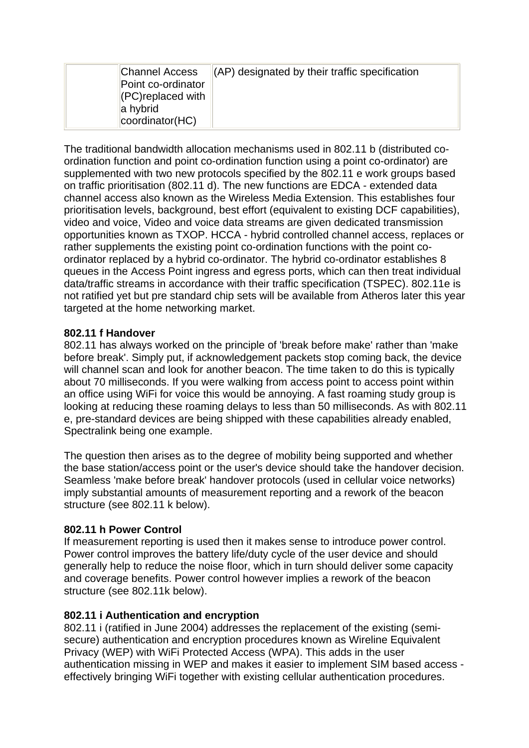|  | <b>Channel Access</b><br>Point co-ordinator<br>$ $ (PC) replaced with<br>a hybrid<br> coordinator(HC) | $\parallel$ (AP) designated by their traffic specification |
|--|-------------------------------------------------------------------------------------------------------|------------------------------------------------------------|
|--|-------------------------------------------------------------------------------------------------------|------------------------------------------------------------|

The traditional bandwidth allocation mechanisms used in 802.11 b (distributed coordination function and point co-ordination function using a point co-ordinator) are supplemented with two new protocols specified by the 802.11 e work groups based on traffic prioritisation (802.11 d). The new functions are EDCA - extended data channel access also known as the Wireless Media Extension. This establishes four prioritisation levels, background, best effort (equivalent to existing DCF capabilities), video and voice, Video and voice data streams are given dedicated transmission opportunities known as TXOP. HCCA - hybrid controlled channel access, replaces or rather supplements the existing point co-ordination functions with the point coordinator replaced by a hybrid co-ordinator. The hybrid co-ordinator establishes 8 queues in the Access Point ingress and egress ports, which can then treat individual data/traffic streams in accordance with their traffic specification (TSPEC). 802.11e is not ratified yet but pre standard chip sets will be available from Atheros later this year targeted at the home networking market.

#### **802.11 f Handover**

802.11 has always worked on the principle of 'break before make' rather than 'make before break'. Simply put, if acknowledgement packets stop coming back, the device will channel scan and look for another beacon. The time taken to do this is typically about 70 milliseconds. If you were walking from access point to access point within an office using WiFi for voice this would be annoying. A fast roaming study group is looking at reducing these roaming delays to less than 50 milliseconds. As with 802.11 e, pre-standard devices are being shipped with these capabilities already enabled, Spectralink being one example.

The question then arises as to the degree of mobility being supported and whether the base station/access point or the user's device should take the handover decision. Seamless 'make before break' handover protocols (used in cellular voice networks) imply substantial amounts of measurement reporting and a rework of the beacon structure (see 802.11 k below).

## **802.11 h Power Control**

If measurement reporting is used then it makes sense to introduce power control. Power control improves the battery life/duty cycle of the user device and should generally help to reduce the noise floor, which in turn should deliver some capacity and coverage benefits. Power control however implies a rework of the beacon structure (see 802.11k below).

## **802.11 i Authentication and encryption**

802.11 i (ratified in June 2004) addresses the replacement of the existing (semisecure) authentication and encryption procedures known as Wireline Equivalent Privacy (WEP) with WiFi Protected Access (WPA). This adds in the user authentication missing in WEP and makes it easier to implement SIM based access effectively bringing WiFi together with existing cellular authentication procedures.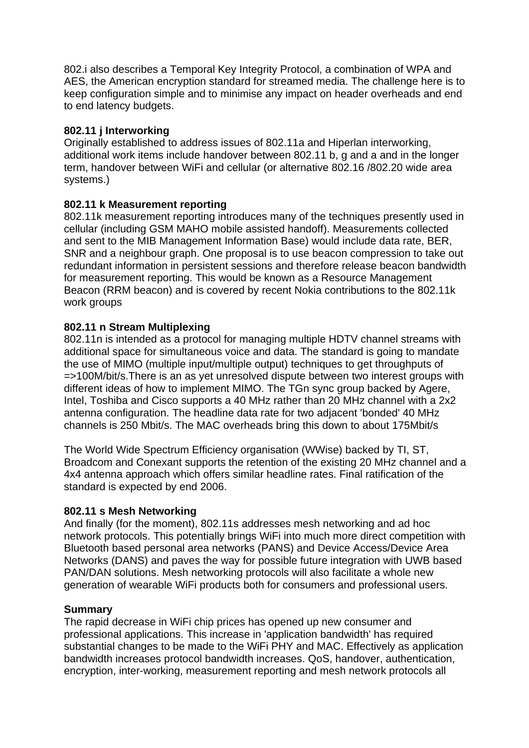802.i also describes a Temporal Key Integrity Protocol, a combination of WPA and AES, the American encryption standard for streamed media. The challenge here is to keep configuration simple and to minimise any impact on header overheads and end to end latency budgets.

## **802.11 j Interworking**

Originally established to address issues of 802.11a and Hiperlan interworking, additional work items include handover between 802.11 b, g and a and in the longer term, handover between WiFi and cellular (or alternative 802.16 /802.20 wide area systems.)

## **802.11 k Measurement reporting**

802.11k measurement reporting introduces many of the techniques presently used in cellular (including GSM MAHO mobile assisted handoff). Measurements collected and sent to the MIB Management Information Base) would include data rate, BER, SNR and a neighbour graph. One proposal is to use beacon compression to take out redundant information in persistent sessions and therefore release beacon bandwidth for measurement reporting. This would be known as a Resource Management Beacon (RRM beacon) and is covered by recent Nokia contributions to the 802.11k work groups

## **802.11 n Stream Multiplexing**

802.11n is intended as a protocol for managing multiple HDTV channel streams with additional space for simultaneous voice and data. The standard is going to mandate the use of MIMO (multiple input/multiple output) techniques to get throughputs of =>100M/bit/s.There is an as yet unresolved dispute between two interest groups with different ideas of how to implement MIMO. The TGn sync group backed by Agere, Intel, Toshiba and Cisco supports a 40 MHz rather than 20 MHz channel with a 2x2 antenna configuration. The headline data rate for two adjacent 'bonded' 40 MHz channels is 250 Mbit/s. The MAC overheads bring this down to about 175Mbit/s

The World Wide Spectrum Efficiency organisation (WWise) backed by TI, ST, Broadcom and Conexant supports the retention of the existing 20 MHz channel and a 4x4 antenna approach which offers similar headline rates. Final ratification of the standard is expected by end 2006.

## **802.11 s Mesh Networking**

And finally (for the moment), 802.11s addresses mesh networking and ad hoc network protocols. This potentially brings WiFi into much more direct competition with Bluetooth based personal area networks (PANS) and Device Access/Device Area Networks (DANS) and paves the way for possible future integration with UWB based PAN/DAN solutions. Mesh networking protocols will also facilitate a whole new generation of wearable WiFi products both for consumers and professional users.

## **Summary**

The rapid decrease in WiFi chip prices has opened up new consumer and professional applications. This increase in 'application bandwidth' has required substantial changes to be made to the WiFi PHY and MAC. Effectively as application bandwidth increases protocol bandwidth increases. QoS, handover, authentication, encryption, inter-working, measurement reporting and mesh network protocols all